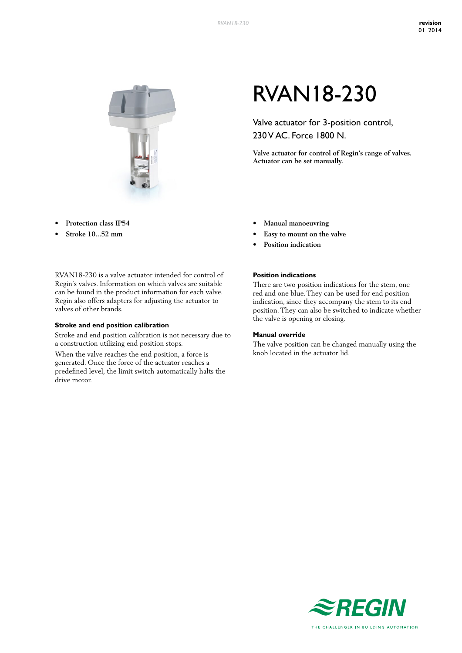

- **• Protection class IP54**
- **• Stroke 10...52 mm**

RVAN18-230 is a valve actuator intended for control of Regin's valves. Information on which valves are suitable can be found in the product information for each valve. Regin also offers adapters for adjusting the actuator to valves of other brands.

#### **Stroke and end position calibration**

Stroke and end position calibration is not necessary due to a construction utilizing end position stops.

When the valve reaches the end position, a force is generated. Once the force of the actuator reaches a predefined level, the limit switch automatically halts the drive motor.

# RVAN18-230

Valve actuator for 3-position control, 230 V AC. Force 1800 N.

**Valve actuator for control of Regin's range of valves. Actuator can be set manually.**

- **• Manual manoeuvring**
- **• Easy to mount on the valve**
- **• Position indication**

### **Position indications**

There are two position indications for the stem, one red and one blue. They can be used for end position indication, since they accompany the stem to its end position. They can also be switched to indicate whether the valve is opening or closing.

#### **Manual override**

The valve position can be changed manually using the knob located in the actuator lid.